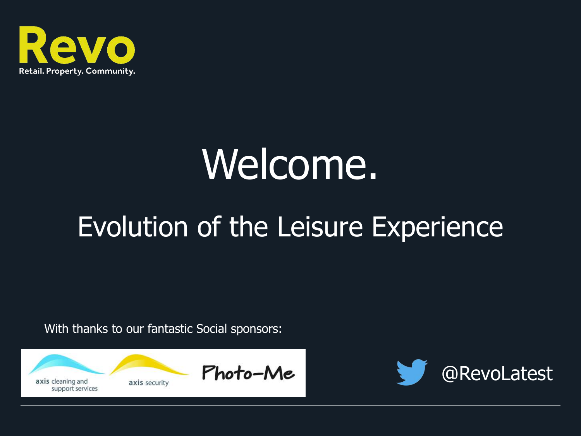

## Welcome.

### Evolution of the Leisure Experience

With thanks to our fantastic Social sponsors:



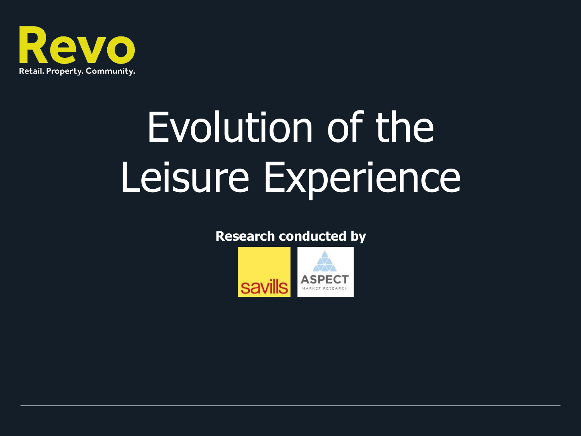

# Evolution of the Leisure Experience

#### **Research conducted by**

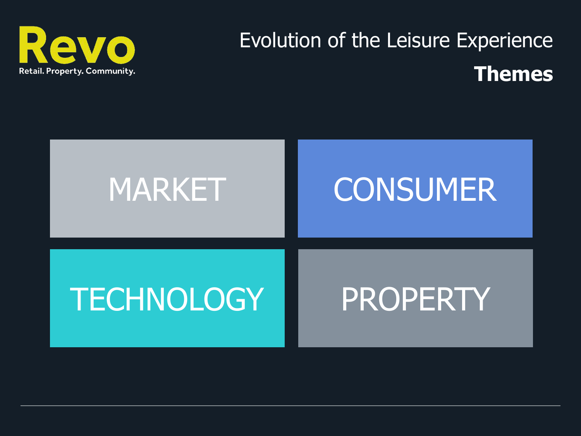

### Evolution of the Leisure Experience **Themes**

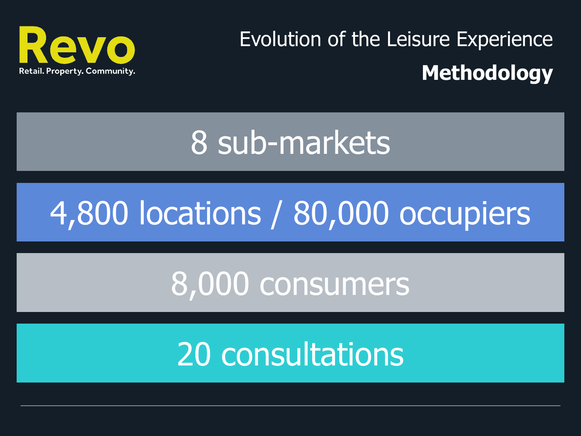

Evolution of the Leisure Experience **Methodology**

## 8 sub-markets

## 4,800 locations / 80,000 occupiers

## 8,000 consumers

## 20 consultations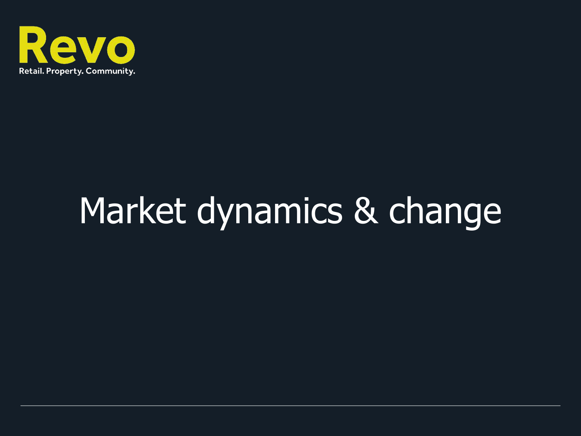

## Market dynamics & change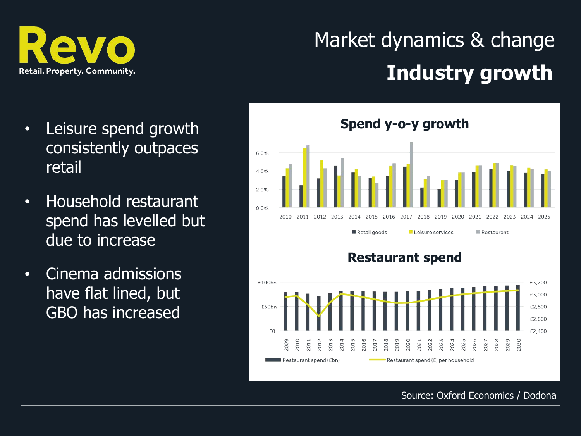

### Market dynamics & change **Industry growth**

- Leisure spend growth consistently outpaces retail
- Household restaurant spend has levelled but due to increase
- Cinema admissions have flat lined, but GBO has increased



#### Source: Oxford Economics / Dodona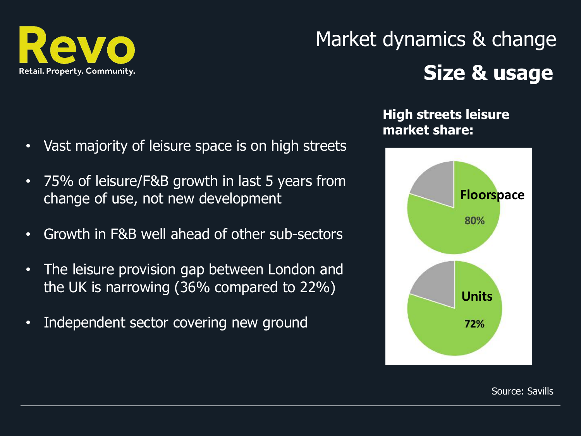

### Market dynamics & change **Size & usage**

- Vast majority of leisure space is on high streets
- 75% of leisure/F&B growth in last 5 years from change of use, not new development
- Growth in F&B well ahead of other sub-sectors
- The leisure provision gap between London and the UK is narrowing (36% compared to 22%)
- Independent sector covering new ground

#### **High streets leisure market share:**



Source: Savills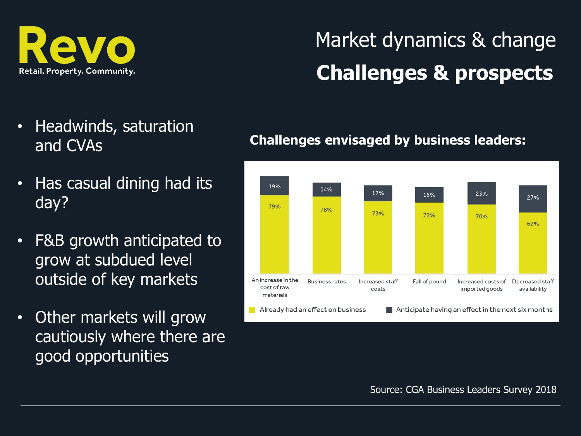

### Market dynamics & change **Challenges & prospects**

- Headwinds, saturation and CVAs
- Has casual dining had its day?
- F&B growth anticipated to grow at subdued level outside of key markets
- Other markets will grow cautiously where there are good opportunities

#### **Challenges envisaged by business leaders:**



Source: CGA Business Leaders Survey 2018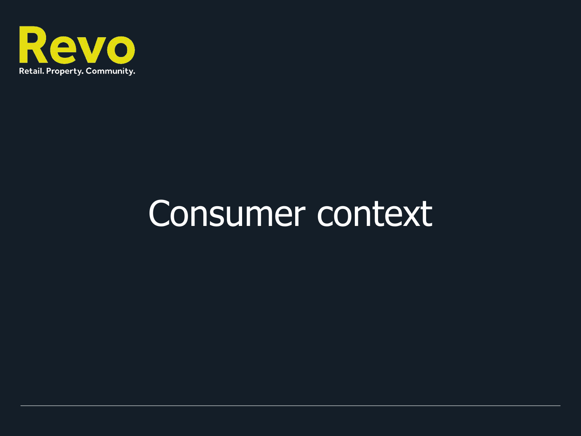

## Consumer context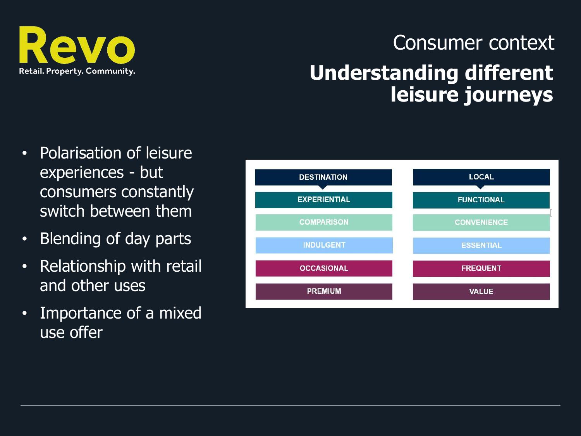

#### Consumer context **Understanding different leisure journeys**

- Polarisation of leisure experiences - but consumers constantly switch between them
- Blending of day parts
- Relationship with retail and other uses
- Importance of a mixed use offer

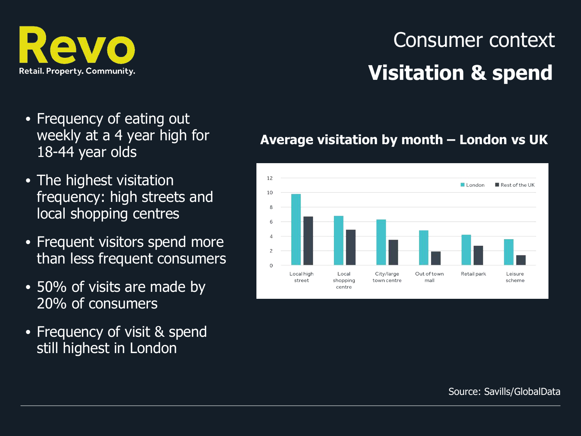

### Consumer context **Visitation & spend**

- Frequency of eating out weekly at a 4 year high for 18-44 year olds
- The highest visitation frequency: high streets and local shopping centres
- Frequent visitors spend more than less frequent consumers
- 50% of visits are made by 20% of consumers
- Frequency of visit & spend still highest in London

#### **Average visitation by month – London vs UK**



Source: Savills/GlobalData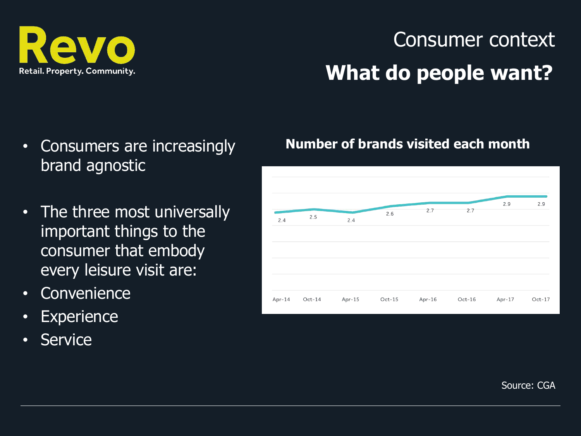

### Consumer context **What do people want?**

- Consumers are increasingly brand agnostic
- The three most universally important things to the consumer that embody every leisure visit are:
- Convenience
- Experience
- Service

#### **Number of brands visited each month**



Source: CGA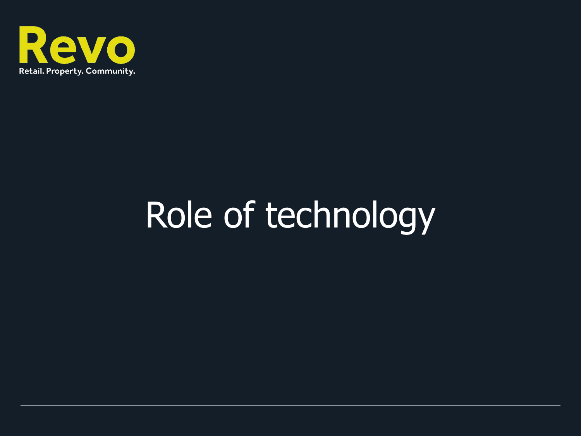

## Role of technology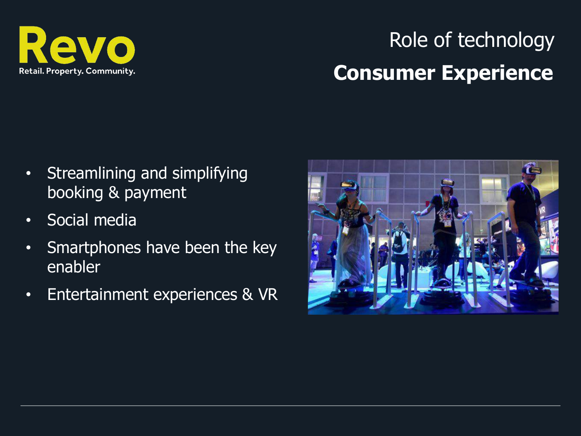

### Role of technology **Consumer Experience**

- Streamlining and simplifying booking & payment
- Social media
- Smartphones have been the key enabler
- Entertainment experiences & VR

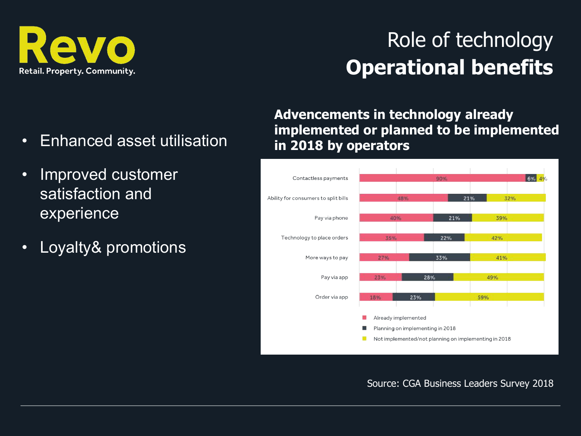

#### Role of technology **Operational benefits**

- Enhanced asset utilisation
- Improved customer satisfaction and experience
- Loyalty& promotions

**Advencements in technology already implemented or planned to be implemented in 2018 by operators**



Source: CGA Business Leaders Survey 2018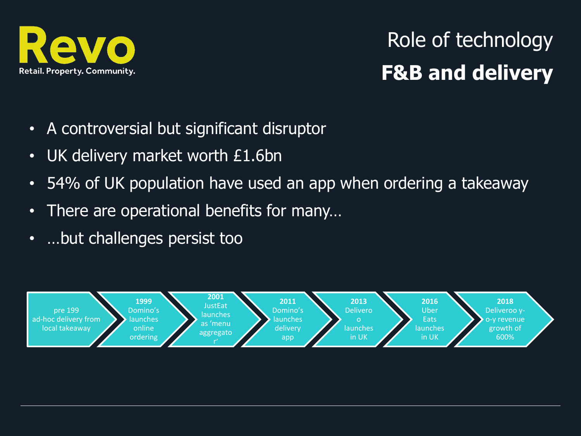

### Role of technology **F&B and delivery**

- A controversial but significant disruptor
- UK delivery market worth £1.6bn
- 54% of UK population have used an app when ordering a takeaway
- There are operational benefits for many…
- …but challenges persist too

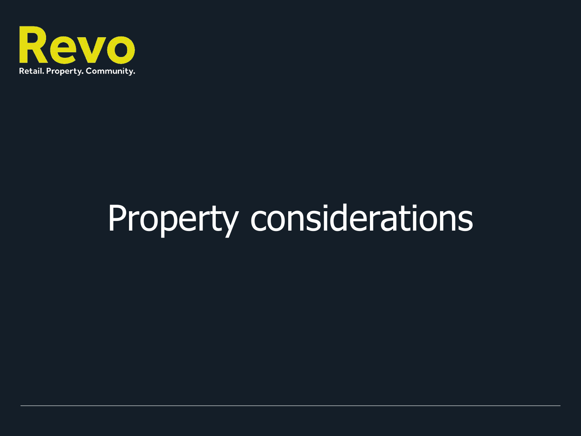

## Property considerations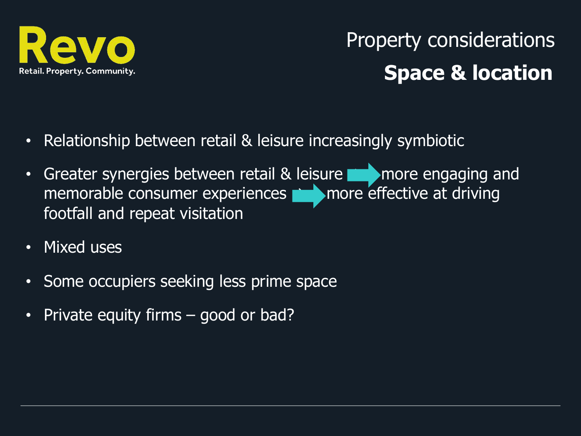

### Property considerations **Space & location**

- Relationship between retail & leisure increasingly symbiotic
- Greater synergies between retail & leisure **Allection** more engaging and memorable consumer experiences  $\rightarrow$  more effective at driving footfall and repeat visitation
- Mixed uses
- Some occupiers seeking less prime space
- Private equity firms good or bad?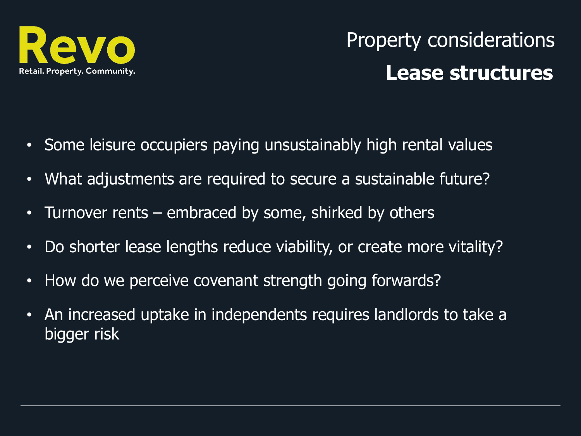

### Property considerations **Lease structures**

- Some leisure occupiers paying unsustainably high rental values
- What adjustments are required to secure a sustainable future?
- Turnover rents embraced by some, shirked by others
- Do shorter lease lengths reduce viability, or create more vitality?
- How do we perceive covenant strength going forwards?
- An increased uptake in independents requires landlords to take a bigger risk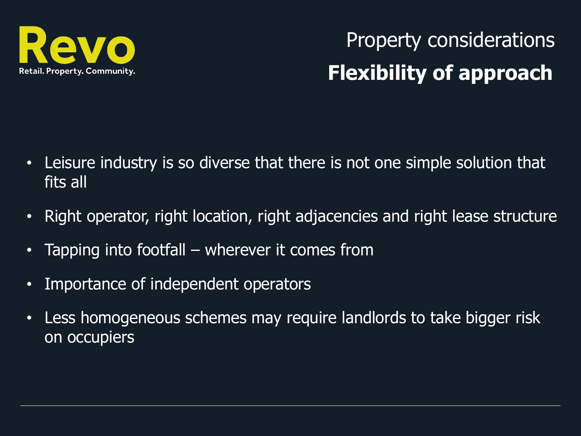

Property considerations **Flexibility of approach**

- Leisure industry is so diverse that there is not one simple solution that fits all
- Right operator, right location, right adjacencies and right lease structure
- Tapping into footfall wherever it comes from
- Importance of independent operators
- Less homogeneous schemes may require landlords to take bigger risk on occupiers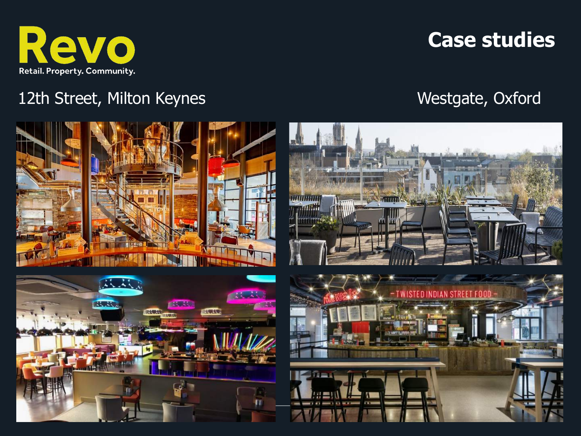

#### **Case studies**

#### 12th Street, Milton Keynes Westgate, Oxford